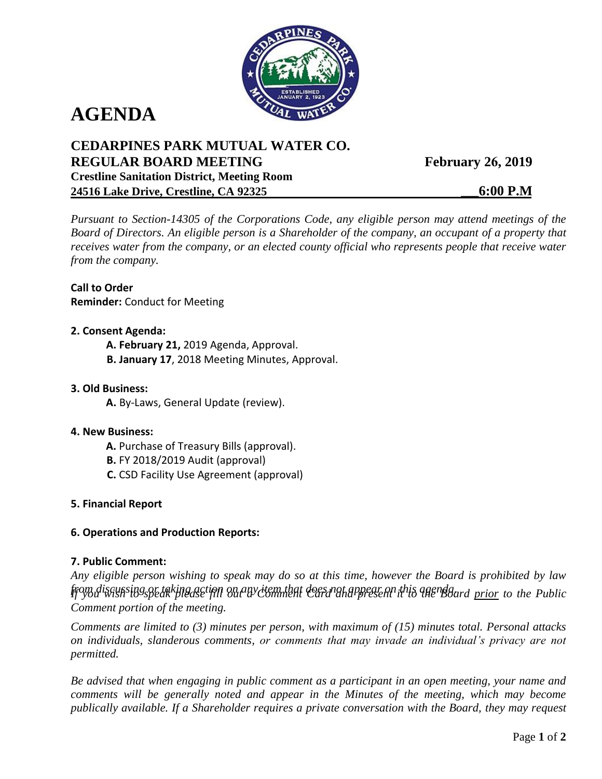

# **AGENDA**

# **CEDARPINES PARK MUTUAL WATER CO. REGULAR BOARD MEETING Crestline Sanitation District, Meeting Room 24516 Lake Drive, Crestline, CA 92325**

**February 26, 2019** 

**\_\_\_6:00 P.M** 

*Pursuant to Section-14305 of the Corporations Code, any eligible person may attend meetings of the Board of Directors. An eligible person is a Shareholder of the company, an occupant of a property that receives water from the company, or an elected county official who represents people that receive water from the company.*

**Call to Order Reminder:** Conduct for Meeting

#### **2. Consent Agenda:**

**A. February 21,** 2019 Agenda, Approval.

**B. January 17**, 2018 Meeting Minutes, Approval.

### **3. Old Business:**

**A.** By-Laws, General Update (review).

#### **4. New Business:**

- **A.** Purchase of Treasury Bills (approval).
- **B.** FY 2018/2019 Audit (approval)
- **C.** CSD Facility Use Agreement (approval)

#### **5. Financial Report**

#### **6. Operations and Production Reports:**

#### **7. Public Comment:**

*Any eligible person wishing to speak may do so at this time, however the Board is prohibited by law from discussing or taking action on any item that does not appear on this agenda. If you wish to speak please fill out a Comment Card and present it to the Board prior to the Public Comment portion of the meeting.*

*Comments are limited to (3) minutes per person, with maximum of (15) minutes total. Personal attacks on individuals, slanderous comments, or comments that may invade an individual's privacy are not permitted.*

*Be advised that when engaging in public comment as a participant in an open meeting, your name and comments will be generally noted and appear in the Minutes of the meeting, which may become publically available. If a Shareholder requires a private conversation with the Board, they may request*